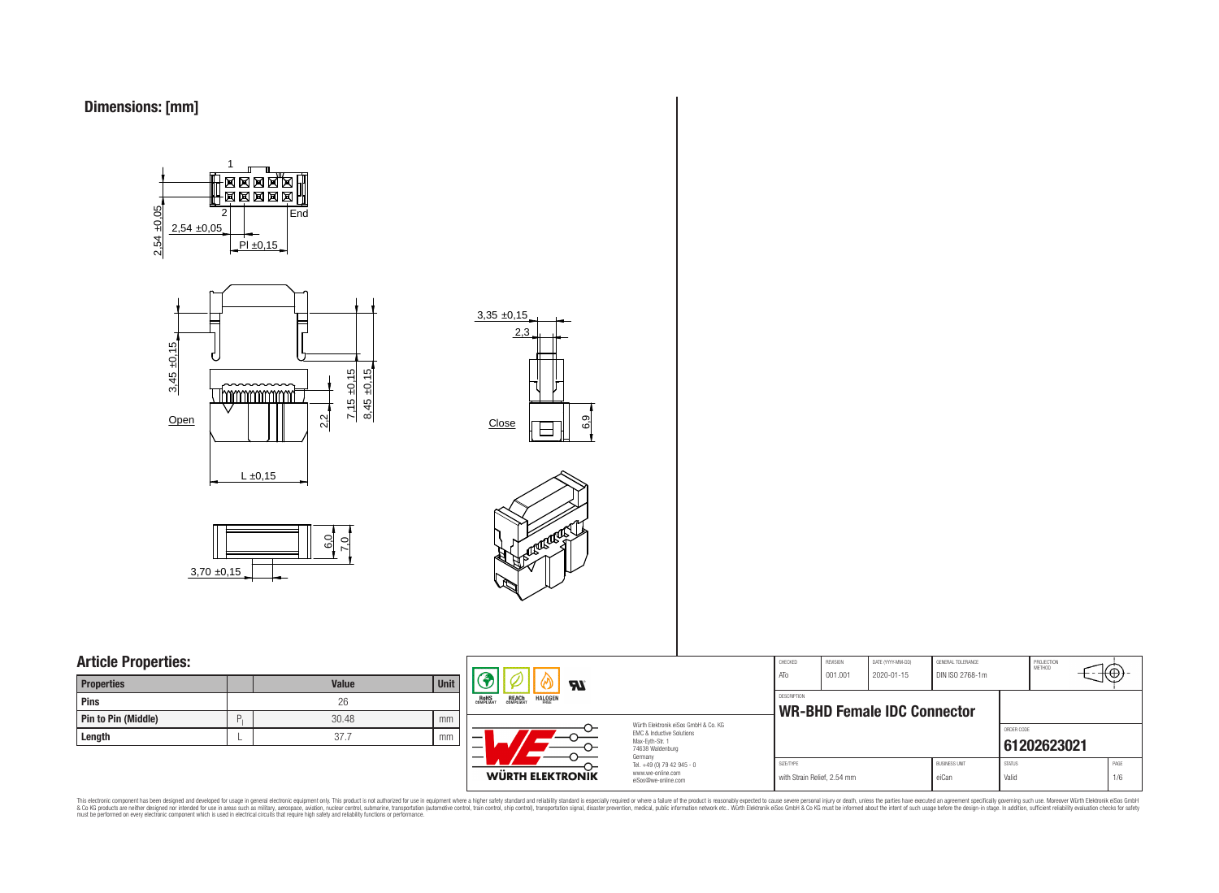









# **Article Properties:**

| <b>Properties</b>   |   | <b>Value</b> | <b>Unit</b> |
|---------------------|---|--------------|-------------|
| Pins                |   | 26           |             |
| Pin to Pin (Middle) | D | 30.48        | mm          |
| Length              |   | 37.7         | mm          |



This electronic component has been designed and developed for usage in general electronic equipment only. This product is not authorized for subserved requipment where a higher selection equipment where a higher selection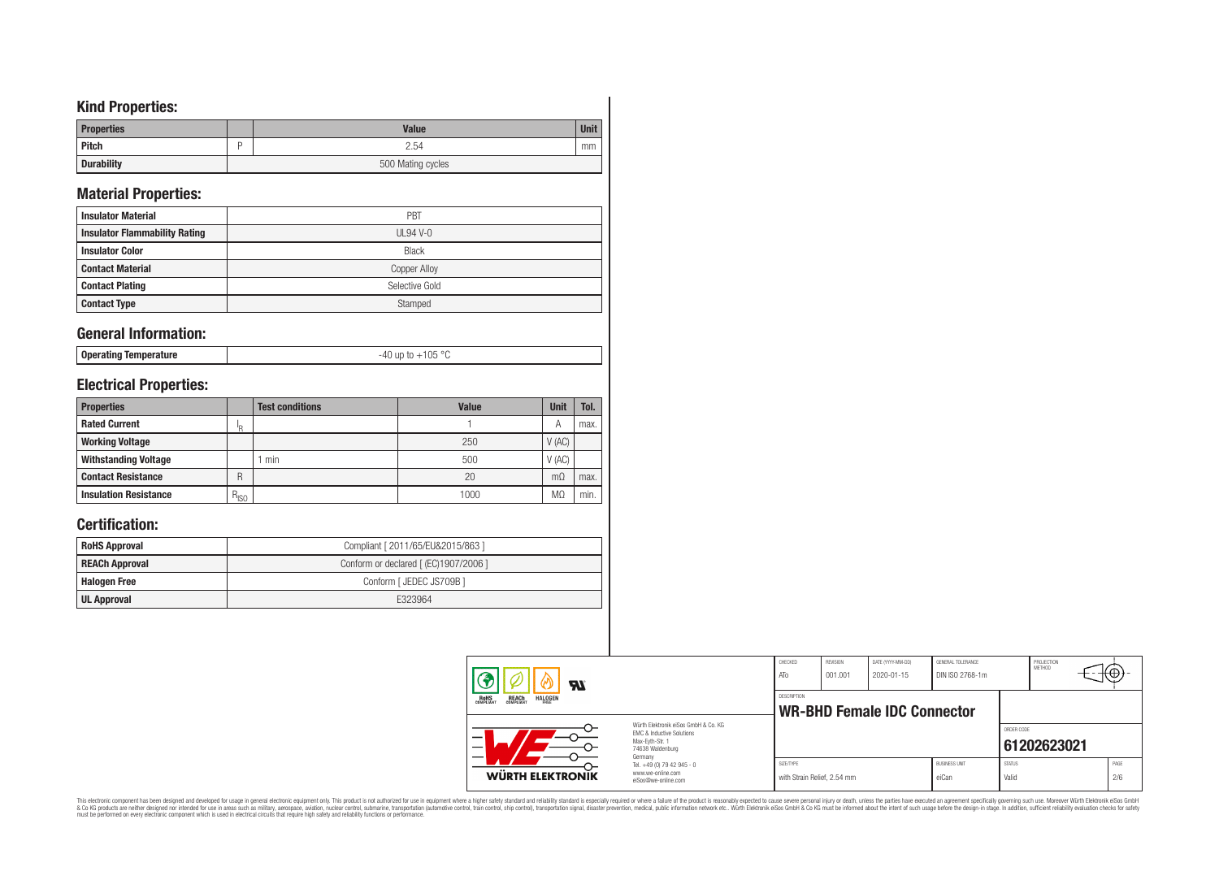# **Kind Properties:**

| <b>Properties</b> | <b>Value</b>      | <b>Unit</b> |
|-------------------|-------------------|-------------|
| <b>Pitch</b>      | 2.54              | mm          |
| <b>Durability</b> | 500 Mating cycles |             |

# **Material Properties:**

| <b>Insulator Material</b>            | PBT                 |
|--------------------------------------|---------------------|
| <b>Insulator Flammability Rating</b> | $UL94V-0$           |
| <b>Insulator Color</b>               | <b>Black</b>        |
| <b>Contact Material</b>              | <b>Copper Alloy</b> |
| <b>Contact Plating</b>               | Selective Gold      |
| <b>Contact Type</b>                  | Stamped             |

## **General Information:**

|--|

# **Electrical Properties:**

| <b>Properties</b>            |           | <b>Test conditions</b> | <b>Value</b> | <b>Unit</b> | Tol. |
|------------------------------|-----------|------------------------|--------------|-------------|------|
| <b>Rated Current</b>         | םי        |                        |              | A           | max. |
| <b>Working Voltage</b>       |           |                        | 250          | V(AC)       |      |
| <b>Withstanding Voltage</b>  |           | min                    | 500          | V(AC)       |      |
| <b>Contact Resistance</b>    | R         |                        | 20           | $m\Omega$   | max. |
| <b>Insulation Resistance</b> | $R_{ISO}$ |                        | 1000         | $M\Omega$   | min. |

# **Certification:**

| <b>RoHS Approval</b>  | Compliant [ 2011/65/EU&2015/863 ]     |
|-----------------------|---------------------------------------|
| <b>REACh Approval</b> | Conform or declared [ (EC)1907/2006 ] |
| <b>Halogen Free</b>   | Conform [ JEDEC JS709B ]              |
| UL Approval           | E323964                               |

| Яī                                                  |                                                                                      | CHECKED<br>ATo              | <b>REVISION</b><br>001.001 | DATE (YYYY-MM-DD)<br>2020-01-15    | GENERAL TOLERANCE<br>DIN ISO 2768-1m |               | PROJECTION<br>METHOD |      |
|-----------------------------------------------------|--------------------------------------------------------------------------------------|-----------------------------|----------------------------|------------------------------------|--------------------------------------|---------------|----------------------|------|
| REACH<br>COMPLIANT<br><b>ROHS</b><br><b>HALOGEN</b> |                                                                                      | DESCRIPTION                 |                            | <b>WR-BHD Female IDC Connector</b> |                                      |               |                      |      |
| –                                                   | Würth Elektronik eiSos GmbH & Co. KG<br>FMC & Inductive Solutions<br>Max-Eyth-Str. 1 |                             |                            |                                    |                                      | ORDER CODE    |                      |      |
| 74638 Waldenburg<br>Germany                         |                                                                                      |                             |                            |                                    |                                      |               | 61202623021          |      |
|                                                     | Tel. +49 (0) 79 42 945 - 0<br>www.we-online.com                                      | SIZE/TYPE                   |                            |                                    | <b>BUSINESS UNIT</b>                 | <b>STATUS</b> |                      | PAGE |
| <b>WÜRTH ELEKTRONIK</b>                             | eiSos@we-online.com                                                                  | with Strain Relief, 2.54 mm |                            |                                    | eiCan                                | Valid         |                      | 2/6  |

This electronic component has been designed and developed for usage in general electronic equipment only. This product is not authorized for subserved requipment where a higher selection equipment where a higher selection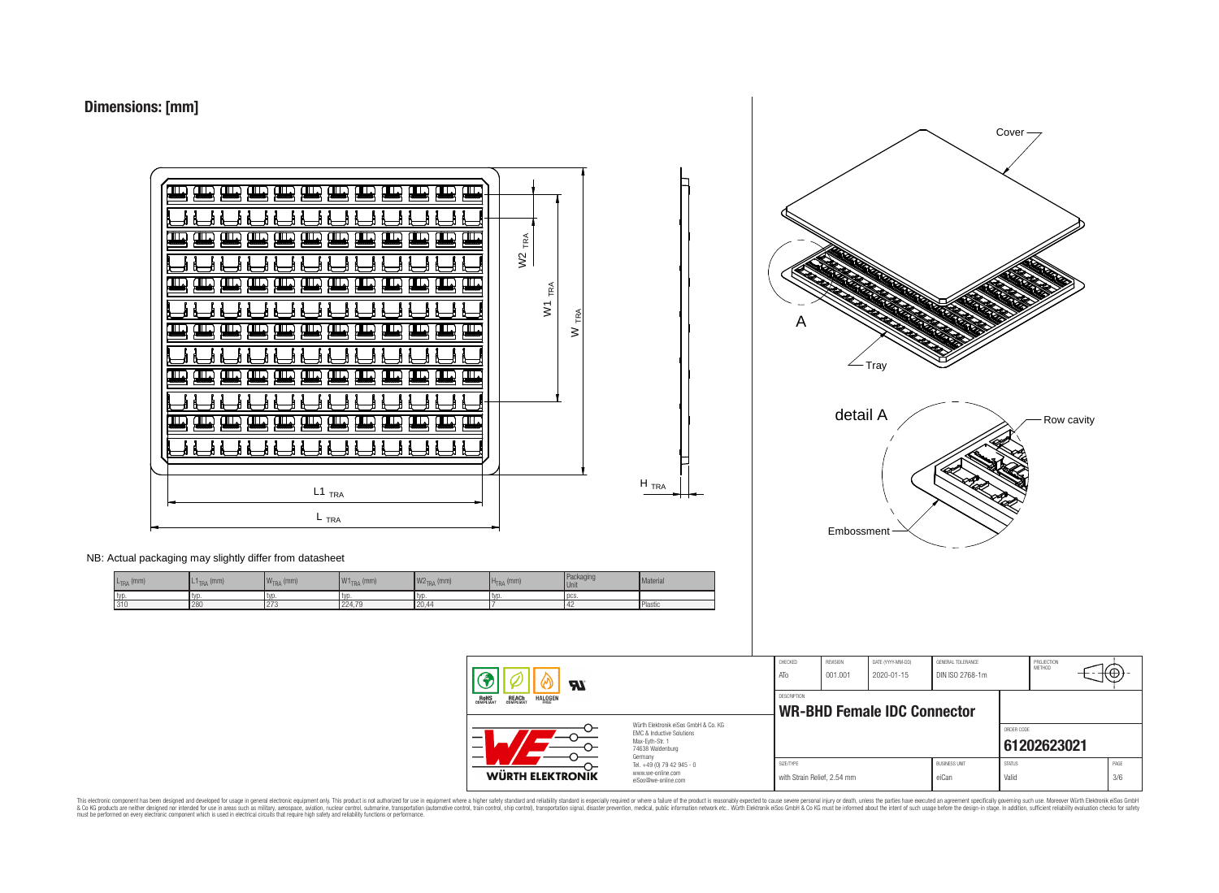



| $L_{\text{TRA}}$ (mm) | $L1_{TRA}$ (mm) | $\mathsf{W}_{\mathsf{TRA}}$ (mm) | 141<br>$\vert$ W1 $_{\rm TRA}$ (mm) | $W2$ <sub>TRA</sub> (mm) | $HTRA$ (mm) | Packaging<br>Unit | Material |
|-----------------------|-----------------|----------------------------------|-------------------------------------|--------------------------|-------------|-------------------|----------|
| 1 tvr                 | I TVD           | . LVD.                           | tyr                                 | typ                      | l tvo       | <b>DCS</b>        |          |
| 310                   | 280             | 17 C I C                         | 224.79                              | 20,44                    |             |                   | Plastic  |



with Strain Relief, 2.54 mm eiCan value of Valid Valid 3/6

This electronic component has been designed and developed for usage in general electronic equipment only. This product is not authorized for subserved requipment where a higher selection equipment where a higher selection

 $\boldsymbol{\mathcal{H}}$ 

**RoHS** 

REACH

HALOGEI

**WÜRTH ELEKTRONIK** 

EMC & Inductive Solutions Max-Eyth-Str. 1 74638 Waldenburg Germany Tel. +49 (0) 79 42 945 - 0 www.we-online.com eiSos@we-online.com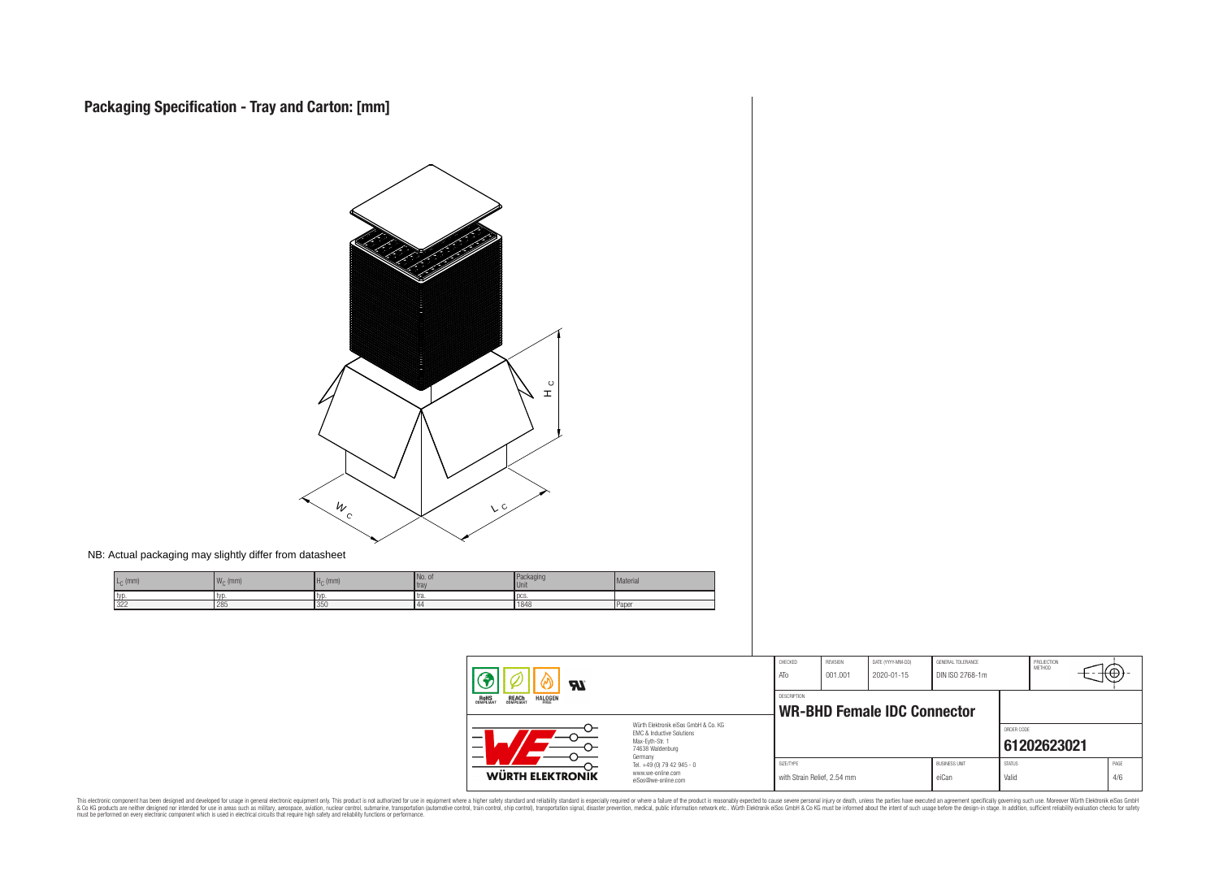

This electronic component has been designed and developed for usage in general electronic equipment only. This product is not authorized for subserved requipment where a higher selection equipment where a higher selection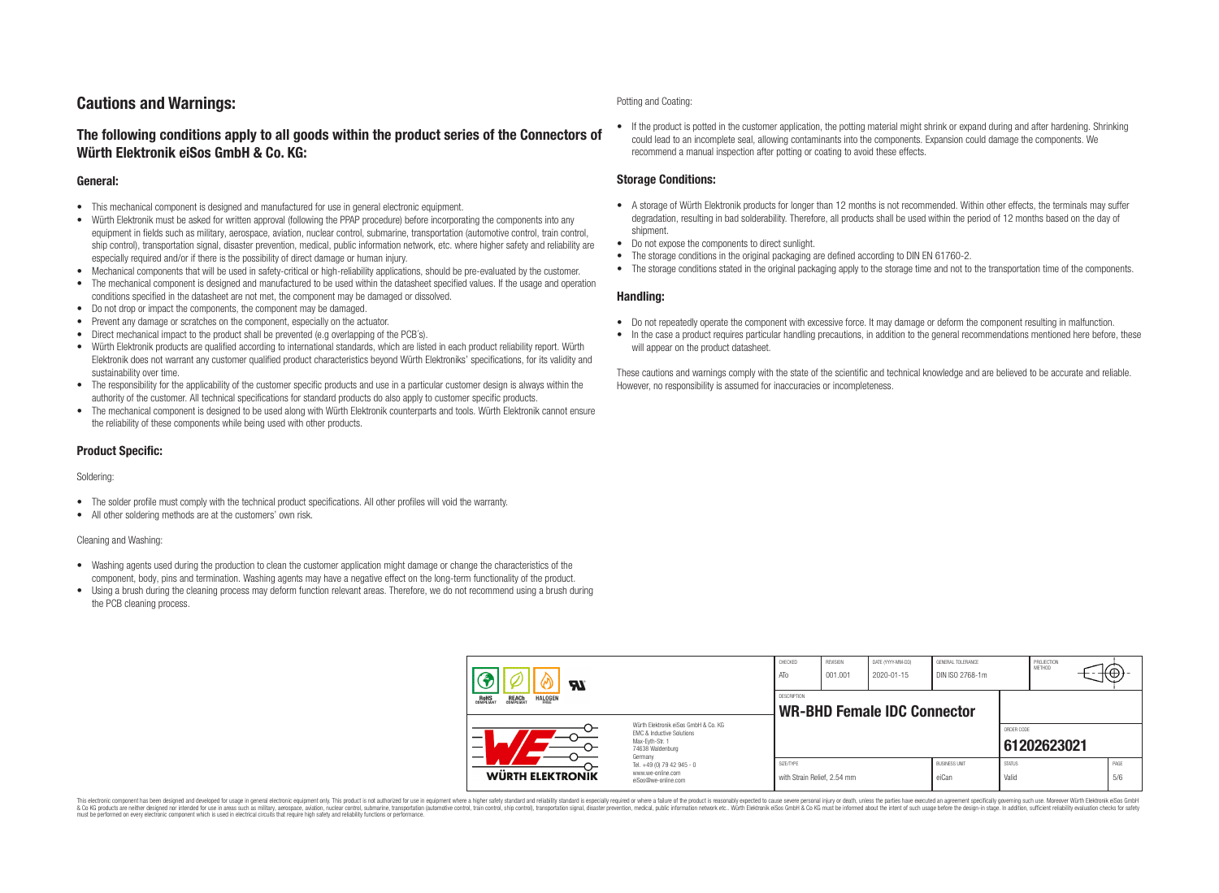## **Cautions and Warnings:**

### **The following conditions apply to all goods within the product series of the Connectors of Würth Elektronik eiSos GmbH & Co. KG:**

#### **General:**

- This mechanical component is designed and manufactured for use in general electronic equipment.
- Würth Elektronik must be asked for written approval (following the PPAP procedure) before incorporating the components into any equipment in fields such as military, aerospace, aviation, nuclear control, submarine, transportation (automotive control, train control, ship control), transportation signal, disaster prevention, medical, public information network, etc. where higher safety and reliability are especially required and/or if there is the possibility of direct damage or human injury.
- Mechanical components that will be used in safety-critical or high-reliability applications, should be pre-evaluated by the customer.
- The mechanical component is designed and manufactured to be used within the datasheet specified values. If the usage and operation conditions specified in the datasheet are not met, the component may be damaged or dissolved.
- Do not drop or impact the components, the component may be damaged.
- Prevent any damage or scratches on the component, especially on the actuator.
- Direct mechanical impact to the product shall be prevented (e.g overlapping of the PCB's).
- Würth Elektronik products are qualified according to international standards, which are listed in each product reliability report. Würth Elektronik does not warrant any customer qualified product characteristics beyond Würth Elektroniks' specifications, for its validity and sustainability over time.
- The responsibility for the applicability of the customer specific products and use in a particular customer design is always within the authority of the customer. All technical specifications for standard products do also apply to customer specific products.
- The mechanical component is designed to be used along with Würth Elektronik counterparts and tools. Würth Elektronik cannot ensure the reliability of these components while being used with other products.

#### **Product Specific:**

#### Soldering:

- The solder profile must comply with the technical product specifications. All other profiles will void the warranty.
- All other soldering methods are at the customers' own risk.

#### Cleaning and Washing:

- Washing agents used during the production to clean the customer application might damage or change the characteristics of the component, body, pins and termination. Washing agents may have a negative effect on the long-term functionality of the product.
- Using a brush during the cleaning process may deform function relevant areas. Therefore, we do not recommend using a brush during the PCB cleaning process.

#### Potting and Coating:

• If the product is potted in the customer application, the potting material might shrink or expand during and after hardening. Shrinking could lead to an incomplete seal, allowing contaminants into the components. Expansion could damage the components. We recommend a manual inspection after potting or coating to avoid these effects.

#### **Storage Conditions:**

- A storage of Würth Elektronik products for longer than 12 months is not recommended. Within other effects, the terminals may suffer degradation, resulting in bad solderability. Therefore, all products shall be used within the period of 12 months based on the day of shipment.
- Do not expose the components to direct sunlight.
- The storage conditions in the original packaging are defined according to DIN EN 61760-2.
- The storage conditions stated in the original packaging apply to the storage time and not to the transportation time of the components.

#### **Handling:**

- Do not repeatedly operate the component with excessive force. It may damage or deform the component resulting in malfunction.
- In the case a product requires particular handling precautions, in addition to the general recommendations mentioned here before, these will appear on the product datasheet.

These cautions and warnings comply with the state of the scientific and technical knowledge and are believed to be accurate and reliable. However, no responsibility is assumed for inaccuracies or incompleteness.

| Яľ                                                                      |                                                                                                                                | CHECKED<br>ATo                           | <b>REVISION</b><br>001.001 | DATE (YYYY-MM-DD)<br>2020-01-15    | GENERAL TOLERANCE<br>DIN ISO 2768-1m |                        | PROJECTION<br><b>METHOD</b> |             |
|-------------------------------------------------------------------------|--------------------------------------------------------------------------------------------------------------------------------|------------------------------------------|----------------------------|------------------------------------|--------------------------------------|------------------------|-----------------------------|-------------|
| <b>ROHS</b><br>COMPLIANT<br><b>HALOGEN</b><br><b>REACH</b><br>COMPLIANT |                                                                                                                                | DESCRIPTION                              |                            | <b>WR-BHD Female IDC Connector</b> |                                      |                        |                             |             |
|                                                                         | Würth Flektronik eiSos GmbH & Co. KG<br><b>EMC &amp; Inductive Solutions</b><br>Max-Evth-Str. 1<br>74638 Waldenburg<br>Germany |                                          |                            |                                    |                                      | ORDER CODE             | 61202623021                 |             |
| WÜRTH ELEKTRONIK                                                        | Tel. +49 (0) 79 42 945 - 0<br>www.we-online.com<br>eiSos@we-online.com                                                         | SIZE/TYPE<br>with Strain Relief, 2.54 mm |                            |                                    | <b>BUSINESS UNIT</b><br>eiCan        | <b>STATUS</b><br>Valid |                             | PAGE<br>5/6 |

This electronic component has been designed and developed for usage in general electronic equipment only. This product is not authorized for use in equipment where a higher safety standard and reliability standard si espec & Ook product a label and the membed of the seasuch as marked and as which such a membed and the such assume that income in the seasuch and the simulation and the such assume that include to the such a membed and the such